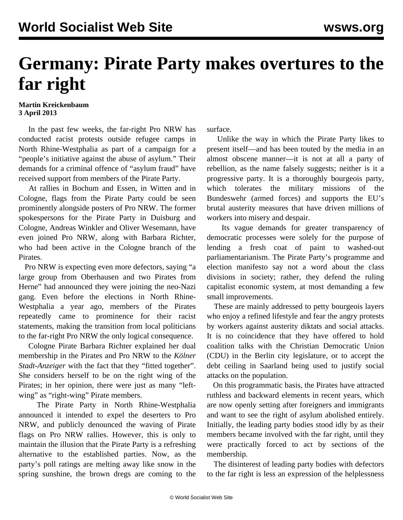## **Germany: Pirate Party makes overtures to the far right**

## **Martin Kreickenbaum 3 April 2013**

 In the past few weeks, the far-right Pro NRW has conducted racist protests outside refugee camps in North Rhine-Westphalia as part of a campaign for a "people's initiative against the abuse of asylum." Their demands for a criminal offence of "asylum fraud" have received support from members of the Pirate Party.

 At rallies in Bochum and Essen, in Witten and in Cologne, flags from the Pirate Party could be seen prominently alongside posters of Pro NRW. The former spokespersons for the Pirate Party in Duisburg and Cologne, Andreas Winkler and Oliver Wesemann, have even joined Pro NRW, along with Barbara Richter, who had been active in the Cologne branch of the Pirates.

 Pro NRW is expecting even more defectors, saying "a large group from Oberhausen and two Pirates from Herne" had announced they were joining the neo-Nazi gang. Even before the elections in North Rhine-Westphalia a year ago, members of the Pirates repeatedly came to prominence for their racist statements, making the transition from local politicians to the far-right Pro NRW the only logical consequence.

 Cologne Pirate Barbara Richter explained her dual membership in the Pirates and Pro NRW to the *Kölner Stadt-Anzeiger* with the fact that they "fitted together". She considers herself to be on the right wing of the Pirates; in her opinion, there were just as many "leftwing" as "right-wing" Pirate members.

 The Pirate Party in North Rhine-Westphalia announced it intended to expel the deserters to Pro NRW, and publicly denounced the waving of Pirate flags on Pro NRW rallies. However, this is only to maintain the illusion that the Pirate Party is a refreshing alternative to the established parties. Now, as the party's poll ratings are melting away like snow in the spring sunshine, the brown dregs are coming to the

surface.

 Unlike the way in which the Pirate Party likes to present itself—and has been touted by the media in an almost obscene manner—it is not at all a party of rebellion, as the name falsely suggests; neither is it a progressive party. It is a thoroughly bourgeois party, which tolerates the military missions of the Bundeswehr (armed forces) and supports the EU's brutal austerity measures that have driven millions of workers into misery and despair.

 Its vague demands for greater transparency of democratic processes were solely for the purpose of lending a fresh coat of paint to washed-out parliamentarianism. The Pirate Party's programme and election manifesto say not a word about the class divisions in society; rather, they defend the ruling capitalist economic system, at most demanding a few small improvements.

 These are mainly addressed to petty bourgeois layers who enjoy a refined lifestyle and fear the angry protests by workers against austerity diktats and social attacks. It is no coincidence that they have offered to hold coalition talks with the Christian Democratic Union (CDU) in the Berlin city legislature, or to accept the debt ceiling in Saarland being used to justify social attacks on the population.

 On this programmatic basis, the Pirates have attracted ruthless and backward elements in recent years, which are now openly setting after foreigners and immigrants and want to see the right of asylum abolished entirely. Initially, the leading party bodies stood idly by as their members became involved with the far right, until they were practically forced to act by sections of the membership.

 The disinterest of leading party bodies with defectors to the far right is less an expression of the helplessness